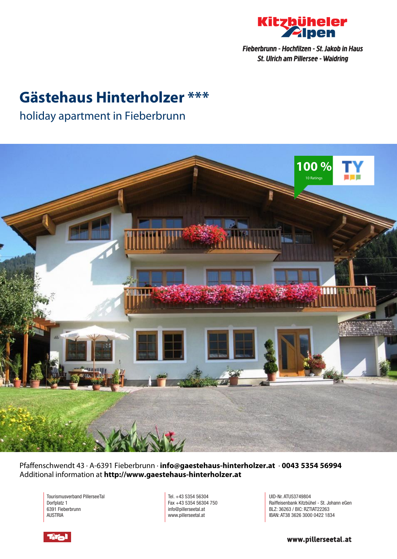

## **Gästehaus Hinterholzer \*\*\***

### holiday apartment in Fieberbrunn



Pfaffenschwendt 43 · A-6391 Fieberbrunn · **info@gaestehaus-hinterholzer.at** · **0043 5354 56994** Additional information at **http://www.gaestehaus-hinterholzer.at**

Tourismusverband PillerseeTal Dorfplatz 1 6391 Fieberbrunn AUSTRIA

Tel. +43 5354 56304 Fax +43 5354 56304 750 info@pillerseetal.at www.pillerseetal.at

UID-Nr. ATU53749804 Raiffeisenbank Kitzbühel - St. Johann eGen BLZ: 36263 / BIC: RZTIAT22263 IBAN: AT38 3626 3000 0422 1834



www.pillerseetal.at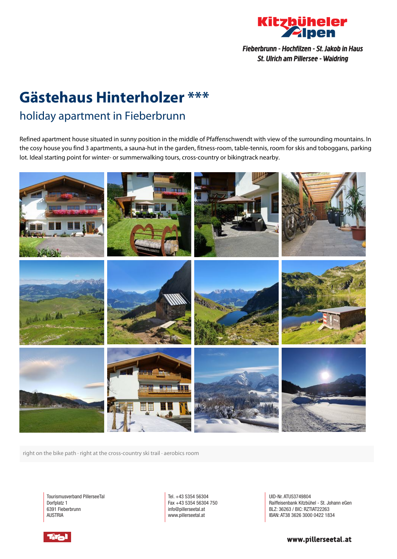

# **Gästehaus Hinterholzer \*\*\***

## holiday apartment in Fieberbrunn

Refined apartment house situated in sunny position in the middle of Pfaffenschwendt with view of the surrounding mountains. In the cosy house you find 3 apartments, <sup>a</sup> sauna-hut in the garden, fitness-room, table-tennis, room for skis and toboggans, parking lot. Ideal starting point for winter- or summerwalking tours, cross-country or bikingtrack nearby.



right on the bike path · right at the cross-country ski trail · aerobics room

Tourismusverband PillerseeTal Dorfplatz 1 6391 Fieberbrunn AUSTRIA

Tel. +43 5354 56304 Fax +43 5354 56304 750 info@pillerseetal.at www.pillerseetal.at

UID-Nr. ATU53749804 Raiffeisenbank Kitzbühel - St. Johann eGen BLZ: 36263 / BIC: RZTIAT22263 IBAN: AT38 3626 3000 0422 1834

www.pillerseetal.at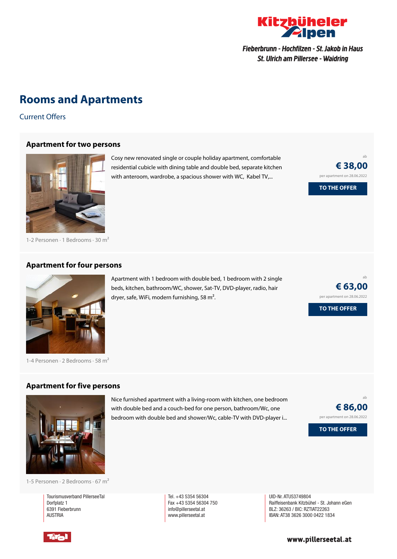

## **Rooms and Apartments**

Current Offers

#### **[Apartment](https://www.kitzbueheler-alpen.com/en/pital/accommodation/booking/gaestehaus-hinterholzer.html?utm_medium=PDF&utm_campaign=Vermieter-Prospekt&utm_source=G%c3%a4stehaus+Hinterholzer) for two persons**



Cosy new renovated single or couple holiday apartment, comfortable residential cubicle with dining table and double bed, separate kitchen with anteroom, wardrobe, a spacious shower with WC, Kabel TV,...

Apartment with 1 bedroom with double bed, 1 bedroom with 2 single beds, kitchen, bathroom/WC, shower, Sat-TV, DVD-player, radio, hair

dryer, safe, WiFi, modern furnishing, 58 m<sup>2</sup>.

ab **€ 38,00** per apartment on 28.06.2022 **TO THE OFFER**

ab

**€ 63,00** per apartment on 28.06.2022

**TO THE OFFER**

1-2 Personen · 1 Bedrooms · 30 <sup>m</sup><sup>²</sup>

#### **[Apartment](https://www.kitzbueheler-alpen.com/en/pital/accommodation/booking/gaestehaus-hinterholzer.html?utm_medium=PDF&utm_campaign=Vermieter-Prospekt&utm_source=G%c3%a4stehaus+Hinterholzer) for four persons**



1-4 Personen  $\cdot$  2 Bedrooms  $\cdot$  58 m<sup>2</sup>

#### **[Apartment](https://www.kitzbueheler-alpen.com/en/pital/accommodation/booking/gaestehaus-hinterholzer.html?utm_medium=PDF&utm_campaign=Vermieter-Prospekt&utm_source=G%c3%a4stehaus+Hinterholzer) for five persons**



Nice furnished apartment with <sup>a</sup> living-room with kitchen, one bedroom with double bed and <sup>a</sup> couch-bed for one person, bathroom/Wc, one bedroom with double bed and shower/Wc, cable-TV with DVD-player i...



1-5 Personen · 2 Bedrooms · 67 <sup>m</sup><sup>²</sup>

Tourismusverband PillerseeTal Dorfplatz 1 6391 Fieberbrunn **AUSTRIA** 

Tel. +43 5354 56304 Fax +43 5354 56304 750 info@pillerseetal.at www.pillerseetal.at

UID-Nr. ATU53749804 Raiffeisenbank Kitzbühel - St. Johann eGen BLZ: 36263 / BIC: RZTIAT22263 IBAN: AT38 3626 3000 0422 1834